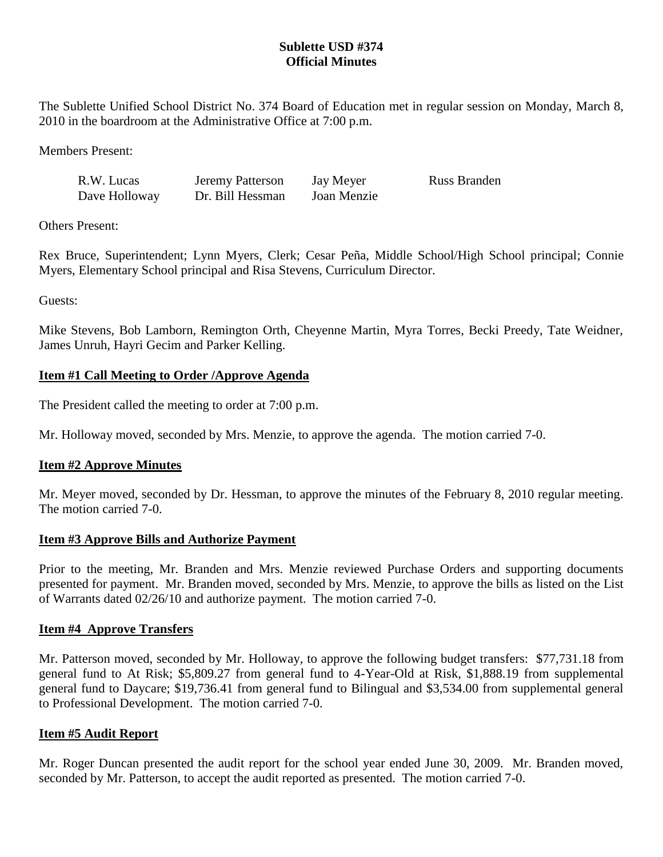# **Sublette USD #374 Official Minutes**

The Sublette Unified School District No. 374 Board of Education met in regular session on Monday, March 8, 2010 in the boardroom at the Administrative Office at 7:00 p.m.

Members Present:

| R.W. Lucas    | Jeremy Patterson | Jay Meyer   | <b>Russ Branden</b> |
|---------------|------------------|-------------|---------------------|
| Dave Holloway | Dr. Bill Hessman | Joan Menzie |                     |

Others Present:

Rex Bruce, Superintendent; Lynn Myers, Clerk; Cesar Peña, Middle School/High School principal; Connie Myers, Elementary School principal and Risa Stevens, Curriculum Director.

Guests:

Mike Stevens, Bob Lamborn, Remington Orth, Cheyenne Martin, Myra Torres, Becki Preedy, Tate Weidner, James Unruh, Hayri Gecim and Parker Kelling.

# **Item #1 Call Meeting to Order /Approve Agenda**

The President called the meeting to order at 7:00 p.m.

Mr. Holloway moved, seconded by Mrs. Menzie, to approve the agenda. The motion carried 7-0.

# **Item #2 Approve Minutes**

Mr. Meyer moved, seconded by Dr. Hessman, to approve the minutes of the February 8, 2010 regular meeting. The motion carried 7-0.

## **Item #3 Approve Bills and Authorize Payment**

Prior to the meeting, Mr. Branden and Mrs. Menzie reviewed Purchase Orders and supporting documents presented for payment. Mr. Branden moved, seconded by Mrs. Menzie, to approve the bills as listed on the List of Warrants dated 02/26/10 and authorize payment. The motion carried 7-0.

## **Item #4 Approve Transfers**

Mr. Patterson moved, seconded by Mr. Holloway, to approve the following budget transfers: \$77,731.18 from general fund to At Risk; \$5,809.27 from general fund to 4-Year-Old at Risk, \$1,888.19 from supplemental general fund to Daycare; \$19,736.41 from general fund to Bilingual and \$3,534.00 from supplemental general to Professional Development. The motion carried 7-0.

## **Item #5 Audit Report**

Mr. Roger Duncan presented the audit report for the school year ended June 30, 2009. Mr. Branden moved, seconded by Mr. Patterson, to accept the audit reported as presented. The motion carried 7-0.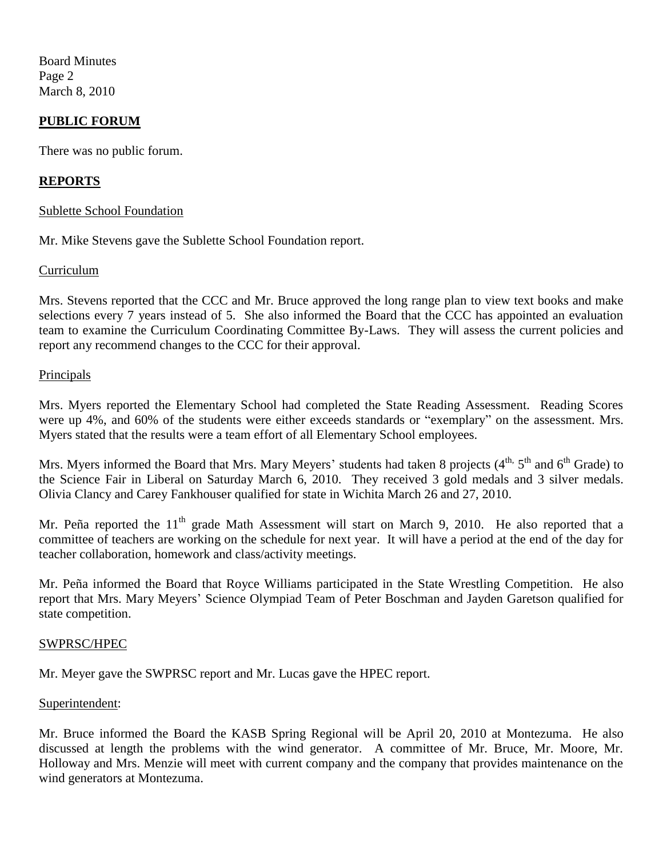Board Minutes Page 2 March 8, 2010

## **PUBLIC FORUM**

There was no public forum.

## **REPORTS**

### Sublette School Foundation

Mr. Mike Stevens gave the Sublette School Foundation report.

### Curriculum

Mrs. Stevens reported that the CCC and Mr. Bruce approved the long range plan to view text books and make selections every 7 years instead of 5. She also informed the Board that the CCC has appointed an evaluation team to examine the Curriculum Coordinating Committee By-Laws. They will assess the current policies and report any recommend changes to the CCC for their approval.

### Principals

Mrs. Myers reported the Elementary School had completed the State Reading Assessment. Reading Scores were up 4%, and 60% of the students were either exceeds standards or "exemplary" on the assessment. Mrs. Myers stated that the results were a team effort of all Elementary School employees.

Mrs. Myers informed the Board that Mrs. Mary Meyers' students had taken 8 projects (4<sup>th, 5th</sup> and 6<sup>th</sup> Grade) to the Science Fair in Liberal on Saturday March 6, 2010. They received 3 gold medals and 3 silver medals. Olivia Clancy and Carey Fankhouser qualified for state in Wichita March 26 and 27, 2010.

Mr. Peña reported the  $11<sup>th</sup>$  grade Math Assessment will start on March 9, 2010. He also reported that a committee of teachers are working on the schedule for next year. It will have a period at the end of the day for teacher collaboration, homework and class/activity meetings.

Mr. Peña informed the Board that Royce Williams participated in the State Wrestling Competition. He also report that Mrs. Mary Meyers' Science Olympiad Team of Peter Boschman and Jayden Garetson qualified for state competition.

#### SWPRSC/HPEC

Mr. Meyer gave the SWPRSC report and Mr. Lucas gave the HPEC report.

#### Superintendent:

Mr. Bruce informed the Board the KASB Spring Regional will be April 20, 2010 at Montezuma. He also discussed at length the problems with the wind generator. A committee of Mr. Bruce, Mr. Moore, Mr. Holloway and Mrs. Menzie will meet with current company and the company that provides maintenance on the wind generators at Montezuma.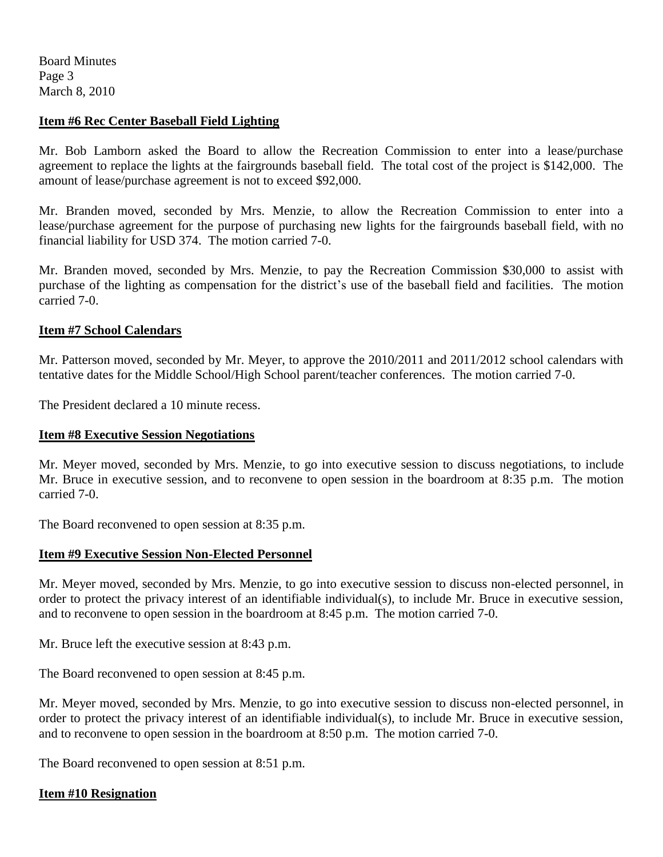Board Minutes Page 3 March 8, 2010

## **Item #6 Rec Center Baseball Field Lighting**

Mr. Bob Lamborn asked the Board to allow the Recreation Commission to enter into a lease/purchase agreement to replace the lights at the fairgrounds baseball field. The total cost of the project is \$142,000. The amount of lease/purchase agreement is not to exceed \$92,000.

Mr. Branden moved, seconded by Mrs. Menzie, to allow the Recreation Commission to enter into a lease/purchase agreement for the purpose of purchasing new lights for the fairgrounds baseball field, with no financial liability for USD 374. The motion carried 7-0.

Mr. Branden moved, seconded by Mrs. Menzie, to pay the Recreation Commission \$30,000 to assist with purchase of the lighting as compensation for the district's use of the baseball field and facilities. The motion carried 7-0.

### **Item #7 School Calendars**

Mr. Patterson moved, seconded by Mr. Meyer, to approve the 2010/2011 and 2011/2012 school calendars with tentative dates for the Middle School/High School parent/teacher conferences. The motion carried 7-0.

The President declared a 10 minute recess.

#### **Item #8 Executive Session Negotiations**

Mr. Meyer moved, seconded by Mrs. Menzie, to go into executive session to discuss negotiations, to include Mr. Bruce in executive session, and to reconvene to open session in the boardroom at 8:35 p.m. The motion carried 7-0.

The Board reconvened to open session at 8:35 p.m.

#### **Item #9 Executive Session Non-Elected Personnel**

Mr. Meyer moved, seconded by Mrs. Menzie, to go into executive session to discuss non-elected personnel, in order to protect the privacy interest of an identifiable individual(s), to include Mr. Bruce in executive session, and to reconvene to open session in the boardroom at 8:45 p.m. The motion carried 7-0.

Mr. Bruce left the executive session at 8:43 p.m.

The Board reconvened to open session at 8:45 p.m.

Mr. Meyer moved, seconded by Mrs. Menzie, to go into executive session to discuss non-elected personnel, in order to protect the privacy interest of an identifiable individual(s), to include Mr. Bruce in executive session, and to reconvene to open session in the boardroom at 8:50 p.m. The motion carried 7-0.

The Board reconvened to open session at 8:51 p.m.

## **Item #10 Resignation**